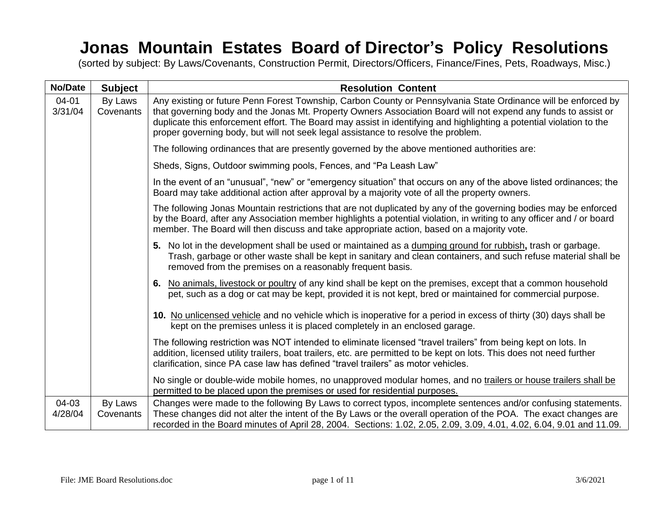## **Jonas Mountain Estates Board of Director's Policy Resolutions**

(sorted by subject: By Laws/Covenants, Construction Permit, Directors/Officers, Finance/Fines, Pets, Roadways, Misc.)

| <b>No/Date</b>   | <b>Subject</b>       | <b>Resolution Content</b>                                                                                                                                                                                                                                                                                                                                                                                                                     |
|------------------|----------------------|-----------------------------------------------------------------------------------------------------------------------------------------------------------------------------------------------------------------------------------------------------------------------------------------------------------------------------------------------------------------------------------------------------------------------------------------------|
| 04-01<br>3/31/04 | By Laws<br>Covenants | Any existing or future Penn Forest Township, Carbon County or Pennsylvania State Ordinance will be enforced by<br>that governing body and the Jonas Mt. Property Owners Association Board will not expend any funds to assist or<br>duplicate this enforcement effort. The Board may assist in identifying and highlighting a potential violation to the<br>proper governing body, but will not seek legal assistance to resolve the problem. |
|                  |                      | The following ordinances that are presently governed by the above mentioned authorities are:                                                                                                                                                                                                                                                                                                                                                  |
|                  |                      | Sheds, Signs, Outdoor swimming pools, Fences, and "Pa Leash Law"                                                                                                                                                                                                                                                                                                                                                                              |
|                  |                      | In the event of an "unusual", "new" or "emergency situation" that occurs on any of the above listed ordinances; the<br>Board may take additional action after approval by a majority vote of all the property owners.                                                                                                                                                                                                                         |
|                  |                      | The following Jonas Mountain restrictions that are not duplicated by any of the governing bodies may be enforced<br>by the Board, after any Association member highlights a potential violation, in writing to any officer and / or board<br>member. The Board will then discuss and take appropriate action, based on a majority vote.                                                                                                       |
|                  |                      | 5. No lot in the development shall be used or maintained as a dumping ground for rubbish, trash or garbage.<br>Trash, garbage or other waste shall be kept in sanitary and clean containers, and such refuse material shall be<br>removed from the premises on a reasonably frequent basis.                                                                                                                                                   |
|                  |                      | 6. No animals, livestock or poultry of any kind shall be kept on the premises, except that a common household<br>pet, such as a dog or cat may be kept, provided it is not kept, bred or maintained for commercial purpose.                                                                                                                                                                                                                   |
|                  |                      | 10. No unlicensed vehicle and no vehicle which is inoperative for a period in excess of thirty (30) days shall be<br>kept on the premises unless it is placed completely in an enclosed garage.                                                                                                                                                                                                                                               |
|                  |                      | The following restriction was NOT intended to eliminate licensed "travel trailers" from being kept on lots. In<br>addition, licensed utility trailers, boat trailers, etc. are permitted to be kept on lots. This does not need further<br>clarification, since PA case law has defined "travel trailers" as motor vehicles.                                                                                                                  |
|                  |                      | No single or double-wide mobile homes, no unapproved modular homes, and no trailers or house trailers shall be<br>permitted to be placed upon the premises or used for residential purposes.                                                                                                                                                                                                                                                  |
| 04-03<br>4/28/04 | By Laws<br>Covenants | Changes were made to the following By Laws to correct typos, incomplete sentences and/or confusing statements.<br>These changes did not alter the intent of the By Laws or the overall operation of the POA. The exact changes are<br>recorded in the Board minutes of April 28, 2004. Sections: 1.02, 2.05, 2.09, 3.09, 4.01, 4.02, 6.04, 9.01 and 11.09.                                                                                    |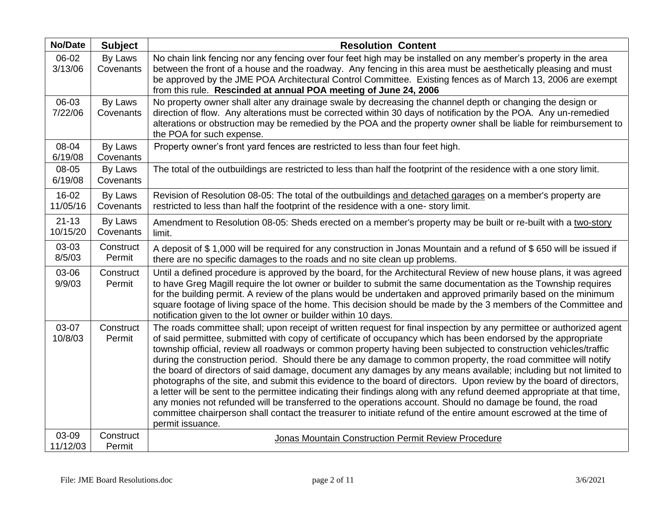| <b>No/Date</b>        | <b>Subject</b>       | <b>Resolution Content</b>                                                                                                                                                                                                                                                                                                                                                                                                                                                                                                                                                                                                                                                                                                                                                                                                                                                                                                                                                                                                                                                                               |
|-----------------------|----------------------|---------------------------------------------------------------------------------------------------------------------------------------------------------------------------------------------------------------------------------------------------------------------------------------------------------------------------------------------------------------------------------------------------------------------------------------------------------------------------------------------------------------------------------------------------------------------------------------------------------------------------------------------------------------------------------------------------------------------------------------------------------------------------------------------------------------------------------------------------------------------------------------------------------------------------------------------------------------------------------------------------------------------------------------------------------------------------------------------------------|
| 06-02<br>3/13/06      | By Laws<br>Covenants | No chain link fencing nor any fencing over four feet high may be installed on any member's property in the area<br>between the front of a house and the roadway. Any fencing in this area must be aesthetically pleasing and must<br>be approved by the JME POA Architectural Control Committee. Existing fences as of March 13, 2006 are exempt<br>from this rule. Rescinded at annual POA meeting of June 24, 2006                                                                                                                                                                                                                                                                                                                                                                                                                                                                                                                                                                                                                                                                                    |
| 06-03<br>7/22/06      | By Laws<br>Covenants | No property owner shall alter any drainage swale by decreasing the channel depth or changing the design or<br>direction of flow. Any alterations must be corrected within 30 days of notification by the POA. Any un-remedied<br>alterations or obstruction may be remedied by the POA and the property owner shall be liable for reimbursement to<br>the POA for such expense.                                                                                                                                                                                                                                                                                                                                                                                                                                                                                                                                                                                                                                                                                                                         |
| 08-04<br>6/19/08      | By Laws<br>Covenants | Property owner's front yard fences are restricted to less than four feet high.                                                                                                                                                                                                                                                                                                                                                                                                                                                                                                                                                                                                                                                                                                                                                                                                                                                                                                                                                                                                                          |
| 08-05<br>6/19/08      | By Laws<br>Covenants | The total of the outbuildings are restricted to less than half the footprint of the residence with a one story limit.                                                                                                                                                                                                                                                                                                                                                                                                                                                                                                                                                                                                                                                                                                                                                                                                                                                                                                                                                                                   |
| $16-02$<br>11/05/16   | By Laws<br>Covenants | Revision of Resolution 08-05: The total of the outbuildings and detached garages on a member's property are<br>restricted to less than half the footprint of the residence with a one- story limit.                                                                                                                                                                                                                                                                                                                                                                                                                                                                                                                                                                                                                                                                                                                                                                                                                                                                                                     |
| $21 - 13$<br>10/15/20 | By Laws<br>Covenants | Amendment to Resolution 08-05: Sheds erected on a member's property may be built or re-built with a two-story<br>limit.                                                                                                                                                                                                                                                                                                                                                                                                                                                                                                                                                                                                                                                                                                                                                                                                                                                                                                                                                                                 |
| 03-03<br>8/5/03       | Construct<br>Permit  | A deposit of \$1,000 will be required for any construction in Jonas Mountain and a refund of \$650 will be issued if<br>there are no specific damages to the roads and no site clean up problems.                                                                                                                                                                                                                                                                                                                                                                                                                                                                                                                                                                                                                                                                                                                                                                                                                                                                                                       |
| 03-06<br>9/9/03       | Construct<br>Permit  | Until a defined procedure is approved by the board, for the Architectural Review of new house plans, it was agreed<br>to have Greg Magill require the lot owner or builder to submit the same documentation as the Township requires<br>for the building permit. A review of the plans would be undertaken and approved primarily based on the minimum<br>square footage of living space of the home. This decision should be made by the 3 members of the Committee and<br>notification given to the lot owner or builder within 10 days.                                                                                                                                                                                                                                                                                                                                                                                                                                                                                                                                                              |
| 03-07<br>10/8/03      | Construct<br>Permit  | The roads committee shall; upon receipt of written request for final inspection by any permittee or authorized agent<br>of said permittee, submitted with copy of certificate of occupancy which has been endorsed by the appropriate<br>township official, review all roadways or common property having been subjected to construction vehicles/traffic<br>during the construction period. Should there be any damage to common property, the road committee will notify<br>the board of directors of said damage, document any damages by any means available; including but not limited to<br>photographs of the site, and submit this evidence to the board of directors. Upon review by the board of directors,<br>a letter will be sent to the permittee indicating their findings along with any refund deemed appropriate at that time,<br>any monies not refunded will be transferred to the operations account. Should no damage be found, the road<br>committee chairperson shall contact the treasurer to initiate refund of the entire amount escrowed at the time of<br>permit issuance. |
| 03-09<br>11/12/03     | Construct<br>Permit  | Jonas Mountain Construction Permit Review Procedure                                                                                                                                                                                                                                                                                                                                                                                                                                                                                                                                                                                                                                                                                                                                                                                                                                                                                                                                                                                                                                                     |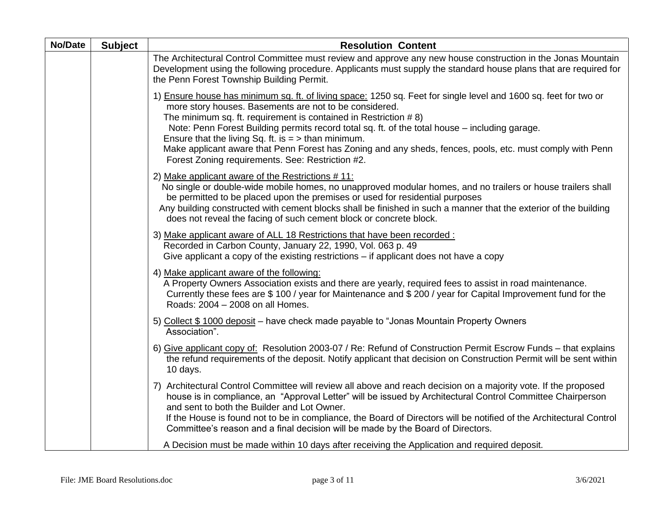| No/Date | <b>Subject</b> | <b>Resolution Content</b>                                                                                                                                                                                                                                                                                                                                                                                                                                                                                                                                                 |
|---------|----------------|---------------------------------------------------------------------------------------------------------------------------------------------------------------------------------------------------------------------------------------------------------------------------------------------------------------------------------------------------------------------------------------------------------------------------------------------------------------------------------------------------------------------------------------------------------------------------|
|         |                | The Architectural Control Committee must review and approve any new house construction in the Jonas Mountain<br>Development using the following procedure. Applicants must supply the standard house plans that are required for<br>the Penn Forest Township Building Permit.                                                                                                                                                                                                                                                                                             |
|         |                | 1) Ensure house has minimum sq. ft. of living space: 1250 sq. Feet for single level and 1600 sq. feet for two or<br>more story houses. Basements are not to be considered.<br>The minimum sq. ft. requirement is contained in Restriction #8)<br>Note: Penn Forest Building permits record total sq. ft. of the total house - including garage.<br>Ensure that the living Sq. ft. is $=$ > than minimum.<br>Make applicant aware that Penn Forest has Zoning and any sheds, fences, pools, etc. must comply with Penn<br>Forest Zoning requirements. See: Restriction #2. |
|         |                | 2) Make applicant aware of the Restrictions #11:<br>No single or double-wide mobile homes, no unapproved modular homes, and no trailers or house trailers shall<br>be permitted to be placed upon the premises or used for residential purposes<br>Any building constructed with cement blocks shall be finished in such a manner that the exterior of the building<br>does not reveal the facing of such cement block or concrete block.                                                                                                                                 |
|         |                | 3) Make applicant aware of ALL 18 Restrictions that have been recorded :<br>Recorded in Carbon County, January 22, 1990, Vol. 063 p. 49<br>Give applicant a copy of the existing restrictions – if applicant does not have a copy                                                                                                                                                                                                                                                                                                                                         |
|         |                | 4) Make applicant aware of the following:<br>A Property Owners Association exists and there are yearly, required fees to assist in road maintenance.<br>Currently these fees are \$ 100 / year for Maintenance and \$ 200 / year for Capital Improvement fund for the<br>Roads: 2004 - 2008 on all Homes.                                                                                                                                                                                                                                                                 |
|         |                | 5) Collect \$1000 deposit - have check made payable to "Jonas Mountain Property Owners<br>Association".                                                                                                                                                                                                                                                                                                                                                                                                                                                                   |
|         |                | 6) Give applicant copy of: Resolution 2003-07 / Re: Refund of Construction Permit Escrow Funds – that explains<br>the refund requirements of the deposit. Notify applicant that decision on Construction Permit will be sent within<br>10 days.                                                                                                                                                                                                                                                                                                                           |
|         |                | 7) Architectural Control Committee will review all above and reach decision on a majority vote. If the proposed<br>house is in compliance, an "Approval Letter" will be issued by Architectural Control Committee Chairperson<br>and sent to both the Builder and Lot Owner.<br>If the House is found not to be in compliance, the Board of Directors will be notified of the Architectural Control<br>Committee's reason and a final decision will be made by the Board of Directors.                                                                                    |
|         |                | A Decision must be made within 10 days after receiving the Application and required deposit.                                                                                                                                                                                                                                                                                                                                                                                                                                                                              |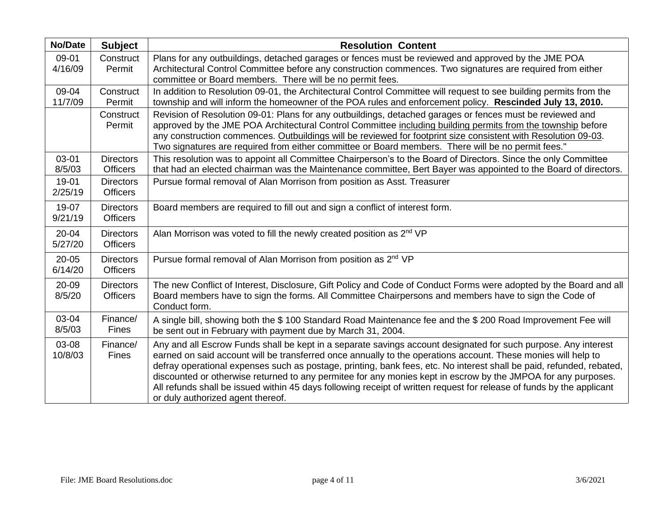| <b>No/Date</b>       | <b>Subject</b>                      | <b>Resolution Content</b>                                                                                                                                                                                                                                                                                                                                                                                                                                                                                                                                                                                                              |
|----------------------|-------------------------------------|----------------------------------------------------------------------------------------------------------------------------------------------------------------------------------------------------------------------------------------------------------------------------------------------------------------------------------------------------------------------------------------------------------------------------------------------------------------------------------------------------------------------------------------------------------------------------------------------------------------------------------------|
| 09-01<br>4/16/09     | Construct<br>Permit                 | Plans for any outbuildings, detached garages or fences must be reviewed and approved by the JME POA<br>Architectural Control Committee before any construction commences. Two signatures are required from either<br>committee or Board members. There will be no permit fees.                                                                                                                                                                                                                                                                                                                                                         |
| 09-04<br>11/7/09     | Construct<br>Permit                 | In addition to Resolution 09-01, the Architectural Control Committee will request to see building permits from the<br>township and will inform the homeowner of the POA rules and enforcement policy. Rescinded July 13, 2010.                                                                                                                                                                                                                                                                                                                                                                                                         |
|                      | Construct<br>Permit                 | Revision of Resolution 09-01: Plans for any outbuildings, detached garages or fences must be reviewed and<br>approved by the JME POA Architectural Control Committee including building permits from the township before<br>any construction commences. Outbuildings will be reviewed for footprint size consistent with Resolution 09-03.<br>Two signatures are required from either committee or Board members. There will be no permit fees."                                                                                                                                                                                       |
| 03-01<br>8/5/03      | <b>Directors</b><br><b>Officers</b> | This resolution was to appoint all Committee Chairperson's to the Board of Directors. Since the only Committee<br>that had an elected chairman was the Maintenance committee, Bert Bayer was appointed to the Board of directors.                                                                                                                                                                                                                                                                                                                                                                                                      |
| 19-01<br>2/25/19     | <b>Directors</b><br><b>Officers</b> | Pursue formal removal of Alan Morrison from position as Asst. Treasurer                                                                                                                                                                                                                                                                                                                                                                                                                                                                                                                                                                |
| 19-07<br>9/21/19     | <b>Directors</b><br><b>Officers</b> | Board members are required to fill out and sign a conflict of interest form.                                                                                                                                                                                                                                                                                                                                                                                                                                                                                                                                                           |
| $20 - 04$<br>5/27/20 | <b>Directors</b><br><b>Officers</b> | Alan Morrison was voted to fill the newly created position as 2 <sup>nd</sup> VP                                                                                                                                                                                                                                                                                                                                                                                                                                                                                                                                                       |
| $20 - 05$<br>6/14/20 | <b>Directors</b><br><b>Officers</b> | Pursue formal removal of Alan Morrison from position as 2 <sup>nd</sup> VP                                                                                                                                                                                                                                                                                                                                                                                                                                                                                                                                                             |
| 20-09<br>8/5/20      | <b>Directors</b><br><b>Officers</b> | The new Conflict of Interest, Disclosure, Gift Policy and Code of Conduct Forms were adopted by the Board and all<br>Board members have to sign the forms. All Committee Chairpersons and members have to sign the Code of<br>Conduct form.                                                                                                                                                                                                                                                                                                                                                                                            |
| 03-04<br>8/5/03      | Finance/<br><b>Fines</b>            | A single bill, showing both the \$100 Standard Road Maintenance fee and the \$200 Road Improvement Fee will<br>be sent out in February with payment due by March 31, 2004.                                                                                                                                                                                                                                                                                                                                                                                                                                                             |
| 03-08<br>10/8/03     | Finance/<br><b>Fines</b>            | Any and all Escrow Funds shall be kept in a separate savings account designated for such purpose. Any interest<br>earned on said account will be transferred once annually to the operations account. These monies will help to<br>defray operational expenses such as postage, printing, bank fees, etc. No interest shall be paid, refunded, rebated,<br>discounted or otherwise returned to any permitee for any monies kept in escrow by the JMPOA for any purposes.<br>All refunds shall be issued within 45 days following receipt of written request for release of funds by the applicant<br>or duly authorized agent thereof. |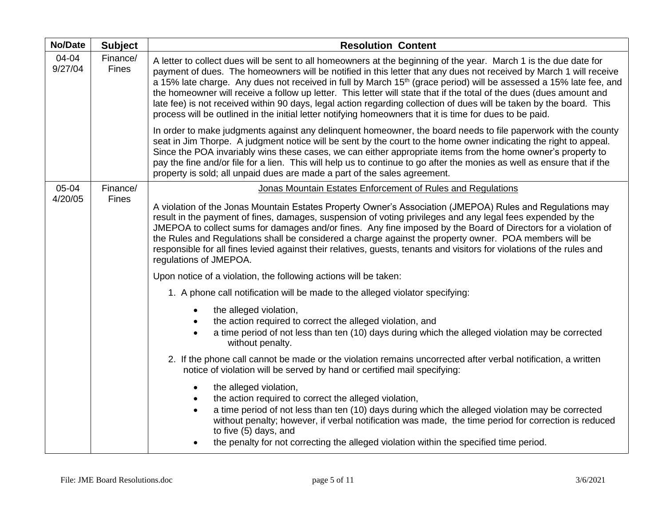| <b>No/Date</b>   | <b>Subject</b>           | <b>Resolution Content</b>                                                                                                                                                                                                                                                                                                                                                                                                                                                                                                                                                                                                                                                                                                             |
|------------------|--------------------------|---------------------------------------------------------------------------------------------------------------------------------------------------------------------------------------------------------------------------------------------------------------------------------------------------------------------------------------------------------------------------------------------------------------------------------------------------------------------------------------------------------------------------------------------------------------------------------------------------------------------------------------------------------------------------------------------------------------------------------------|
| 04-04<br>9/27/04 | Finance/<br>Fines        | A letter to collect dues will be sent to all homeowners at the beginning of the year. March 1 is the due date for<br>payment of dues. The homeowners will be notified in this letter that any dues not received by March 1 will receive<br>a 15% late charge. Any dues not received in full by March 15 <sup>th</sup> (grace period) will be assessed a 15% late fee, and<br>the homeowner will receive a follow up letter. This letter will state that if the total of the dues (dues amount and<br>late fee) is not received within 90 days, legal action regarding collection of dues will be taken by the board. This<br>process will be outlined in the initial letter notifying homeowners that it is time for dues to be paid. |
|                  |                          | In order to make judgments against any delinquent homeowner, the board needs to file paperwork with the county<br>seat in Jim Thorpe. A judgment notice will be sent by the court to the home owner indicating the right to appeal.<br>Since the POA invariably wins these cases, we can either appropriate items from the home owner's property to<br>pay the fine and/or file for a lien. This will help us to continue to go after the monies as well as ensure that if the<br>property is sold; all unpaid dues are made a part of the sales agreement.                                                                                                                                                                           |
| 05-04            | Finance/<br><b>Fines</b> | Jonas Mountain Estates Enforcement of Rules and Regulations                                                                                                                                                                                                                                                                                                                                                                                                                                                                                                                                                                                                                                                                           |
| 4/20/05          |                          | A violation of the Jonas Mountain Estates Property Owner's Association (JMEPOA) Rules and Regulations may<br>result in the payment of fines, damages, suspension of voting privileges and any legal fees expended by the<br>JMEPOA to collect sums for damages and/or fines. Any fine imposed by the Board of Directors for a violation of<br>the Rules and Regulations shall be considered a charge against the property owner. POA members will be<br>responsible for all fines levied against their relatives, guests, tenants and visitors for violations of the rules and<br>regulations of JMEPOA.                                                                                                                              |
|                  |                          | Upon notice of a violation, the following actions will be taken:                                                                                                                                                                                                                                                                                                                                                                                                                                                                                                                                                                                                                                                                      |
|                  |                          | 1. A phone call notification will be made to the alleged violator specifying:                                                                                                                                                                                                                                                                                                                                                                                                                                                                                                                                                                                                                                                         |
|                  |                          | the alleged violation,<br>the action required to correct the alleged violation, and<br>$\bullet$<br>a time period of not less than ten (10) days during which the alleged violation may be corrected<br>without penalty.                                                                                                                                                                                                                                                                                                                                                                                                                                                                                                              |
|                  |                          | 2. If the phone call cannot be made or the violation remains uncorrected after verbal notification, a written<br>notice of violation will be served by hand or certified mail specifying:                                                                                                                                                                                                                                                                                                                                                                                                                                                                                                                                             |
|                  |                          | the alleged violation,<br>the action required to correct the alleged violation,<br>a time period of not less than ten (10) days during which the alleged violation may be corrected<br>without penalty; however, if verbal notification was made, the time period for correction is reduced<br>to five (5) days, and<br>the penalty for not correcting the alleged violation within the specified time period.                                                                                                                                                                                                                                                                                                                        |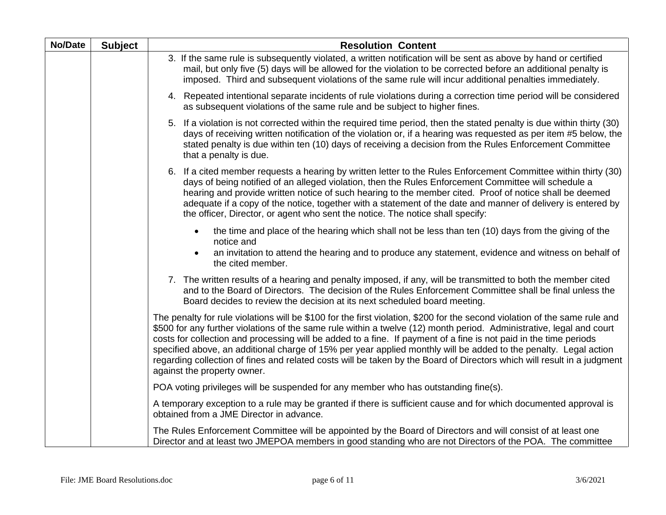| No/Date | <b>Subject</b> | <b>Resolution Content</b>                                                                                                                                                                                                                                                                                                                                                                                                                                                                                                                                                                                                                             |
|---------|----------------|-------------------------------------------------------------------------------------------------------------------------------------------------------------------------------------------------------------------------------------------------------------------------------------------------------------------------------------------------------------------------------------------------------------------------------------------------------------------------------------------------------------------------------------------------------------------------------------------------------------------------------------------------------|
|         |                | 3. If the same rule is subsequently violated, a written notification will be sent as above by hand or certified<br>mail, but only five (5) days will be allowed for the violation to be corrected before an additional penalty is<br>imposed. Third and subsequent violations of the same rule will incur additional penalties immediately.                                                                                                                                                                                                                                                                                                           |
|         |                | 4. Repeated intentional separate incidents of rule violations during a correction time period will be considered<br>as subsequent violations of the same rule and be subject to higher fines.                                                                                                                                                                                                                                                                                                                                                                                                                                                         |
|         |                | If a violation is not corrected within the required time period, then the stated penalty is due within thirty (30)<br>5.<br>days of receiving written notification of the violation or, if a hearing was requested as per item #5 below, the<br>stated penalty is due within ten (10) days of receiving a decision from the Rules Enforcement Committee<br>that a penalty is due.                                                                                                                                                                                                                                                                     |
|         |                | 6. If a cited member requests a hearing by written letter to the Rules Enforcement Committee within thirty (30)<br>days of being notified of an alleged violation, then the Rules Enforcement Committee will schedule a<br>hearing and provide written notice of such hearing to the member cited. Proof of notice shall be deemed<br>adequate if a copy of the notice, together with a statement of the date and manner of delivery is entered by<br>the officer, Director, or agent who sent the notice. The notice shall specify:                                                                                                                  |
|         |                | the time and place of the hearing which shall not be less than ten (10) days from the giving of the<br>notice and                                                                                                                                                                                                                                                                                                                                                                                                                                                                                                                                     |
|         |                | an invitation to attend the hearing and to produce any statement, evidence and witness on behalf of<br>$\bullet$<br>the cited member.                                                                                                                                                                                                                                                                                                                                                                                                                                                                                                                 |
|         |                | 7. The written results of a hearing and penalty imposed, if any, will be transmitted to both the member cited<br>and to the Board of Directors. The decision of the Rules Enforcement Committee shall be final unless the<br>Board decides to review the decision at its next scheduled board meeting.                                                                                                                                                                                                                                                                                                                                                |
|         |                | The penalty for rule violations will be \$100 for the first violation, \$200 for the second violation of the same rule and<br>\$500 for any further violations of the same rule within a twelve (12) month period. Administrative, legal and court<br>costs for collection and processing will be added to a fine. If payment of a fine is not paid in the time periods<br>specified above, an additional charge of 15% per year applied monthly will be added to the penalty. Legal action<br>regarding collection of fines and related costs will be taken by the Board of Directors which will result in a judgment<br>against the property owner. |
|         |                | POA voting privileges will be suspended for any member who has outstanding fine(s).                                                                                                                                                                                                                                                                                                                                                                                                                                                                                                                                                                   |
|         |                | A temporary exception to a rule may be granted if there is sufficient cause and for which documented approval is<br>obtained from a JME Director in advance.                                                                                                                                                                                                                                                                                                                                                                                                                                                                                          |
|         |                | The Rules Enforcement Committee will be appointed by the Board of Directors and will consist of at least one<br>Director and at least two JMEPOA members in good standing who are not Directors of the POA. The committee                                                                                                                                                                                                                                                                                                                                                                                                                             |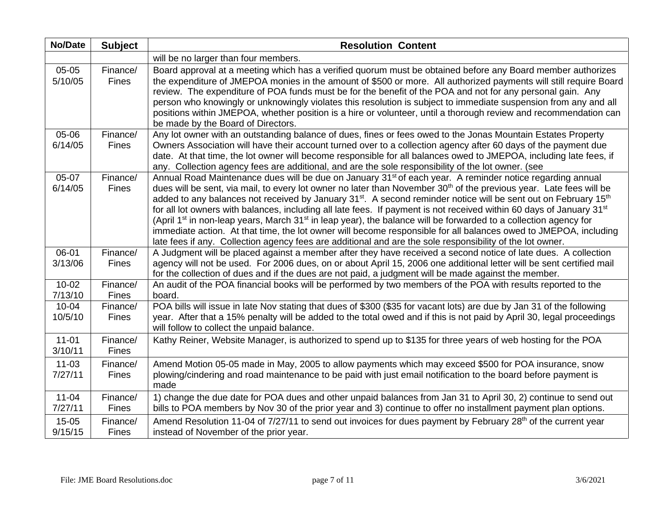| <b>No/Date</b>       | <b>Subject</b>           | <b>Resolution Content</b>                                                                                                                                                                                                                                                                                                                                                                                                                                                                                                                                                                                                                                                                                                                                                                   |
|----------------------|--------------------------|---------------------------------------------------------------------------------------------------------------------------------------------------------------------------------------------------------------------------------------------------------------------------------------------------------------------------------------------------------------------------------------------------------------------------------------------------------------------------------------------------------------------------------------------------------------------------------------------------------------------------------------------------------------------------------------------------------------------------------------------------------------------------------------------|
|                      |                          | will be no larger than four members.                                                                                                                                                                                                                                                                                                                                                                                                                                                                                                                                                                                                                                                                                                                                                        |
| 05-05<br>5/10/05     | Finance/<br><b>Fines</b> | Board approval at a meeting which has a verified quorum must be obtained before any Board member authorizes<br>the expenditure of JMEPOA monies in the amount of \$500 or more. All authorized payments will still require Board<br>review. The expenditure of POA funds must be for the benefit of the POA and not for any personal gain. Any<br>person who knowingly or unknowingly violates this resolution is subject to immediate suspension from any and all<br>positions within JMEPOA, whether position is a hire or volunteer, until a thorough review and recommendation can<br>be made by the Board of Directors.                                                                                                                                                                |
| 05-06                | Finance/                 | Any lot owner with an outstanding balance of dues, fines or fees owed to the Jonas Mountain Estates Property                                                                                                                                                                                                                                                                                                                                                                                                                                                                                                                                                                                                                                                                                |
| 6/14/05              | Fines                    | Owners Association will have their account turned over to a collection agency after 60 days of the payment due<br>date. At that time, the lot owner will become responsible for all balances owed to JMEPOA, including late fees, if<br>any. Collection agency fees are additional, and are the sole responsibility of the lot owner. (see                                                                                                                                                                                                                                                                                                                                                                                                                                                  |
| 05-07                | Finance/                 | Annual Road Maintenance dues will be due on January 31 <sup>st</sup> of each year. A reminder notice regarding annual                                                                                                                                                                                                                                                                                                                                                                                                                                                                                                                                                                                                                                                                       |
| 6/14/05              | <b>Fines</b>             | dues will be sent, via mail, to every lot owner no later than November 30 <sup>th</sup> of the previous year. Late fees will be<br>added to any balances not received by January 31 <sup>st</sup> . A second reminder notice will be sent out on February 15 <sup>th</sup><br>for all lot owners with balances, including all late fees. If payment is not received within 60 days of January 31 <sup>st</sup><br>(April 1 <sup>st</sup> in non-leap years, March 31 <sup>st</sup> in leap year), the balance will be forwarded to a collection agency for<br>immediate action. At that time, the lot owner will become responsible for all balances owed to JMEPOA, including<br>late fees if any. Collection agency fees are additional and are the sole responsibility of the lot owner. |
| 06-01                | Finance/                 | A Judgment will be placed against a member after they have received a second notice of late dues. A collection                                                                                                                                                                                                                                                                                                                                                                                                                                                                                                                                                                                                                                                                              |
| 3/13/06              | Fines                    | agency will not be used. For 2006 dues, on or about April 15, 2006 one additional letter will be sent certified mail<br>for the collection of dues and if the dues are not paid, a judgment will be made against the member.                                                                                                                                                                                                                                                                                                                                                                                                                                                                                                                                                                |
| $10 - 02$<br>7/13/10 | Finance/<br>Fines        | An audit of the POA financial books will be performed by two members of the POA with results reported to the<br>board.                                                                                                                                                                                                                                                                                                                                                                                                                                                                                                                                                                                                                                                                      |
| $10 - 04$<br>10/5/10 | Finance/<br>Fines        | POA bills will issue in late Nov stating that dues of \$300 (\$35 for vacant lots) are due by Jan 31 of the following<br>year. After that a 15% penalty will be added to the total owed and if this is not paid by April 30, legal proceedings<br>will follow to collect the unpaid balance.                                                                                                                                                                                                                                                                                                                                                                                                                                                                                                |
| $11 - 01$<br>3/10/11 | Finance/<br>Fines        | Kathy Reiner, Website Manager, is authorized to spend up to \$135 for three years of web hosting for the POA                                                                                                                                                                                                                                                                                                                                                                                                                                                                                                                                                                                                                                                                                |
| $11 - 03$<br>7/27/11 | Finance/<br>Fines        | Amend Motion 05-05 made in May, 2005 to allow payments which may exceed \$500 for POA insurance, snow<br>plowing/cindering and road maintenance to be paid with just email notification to the board before payment is<br>made                                                                                                                                                                                                                                                                                                                                                                                                                                                                                                                                                              |
| $11 - 04$<br>7/27/11 | Finance/<br>Fines        | 1) change the due date for POA dues and other unpaid balances from Jan 31 to April 30, 2) continue to send out<br>bills to POA members by Nov 30 of the prior year and 3) continue to offer no installment payment plan options.                                                                                                                                                                                                                                                                                                                                                                                                                                                                                                                                                            |
| $15-05$<br>9/15/15   | Finance/<br>Fines        | Amend Resolution 11-04 of 7/27/11 to send out invoices for dues payment by February 28 <sup>th</sup> of the current year<br>instead of November of the prior year.                                                                                                                                                                                                                                                                                                                                                                                                                                                                                                                                                                                                                          |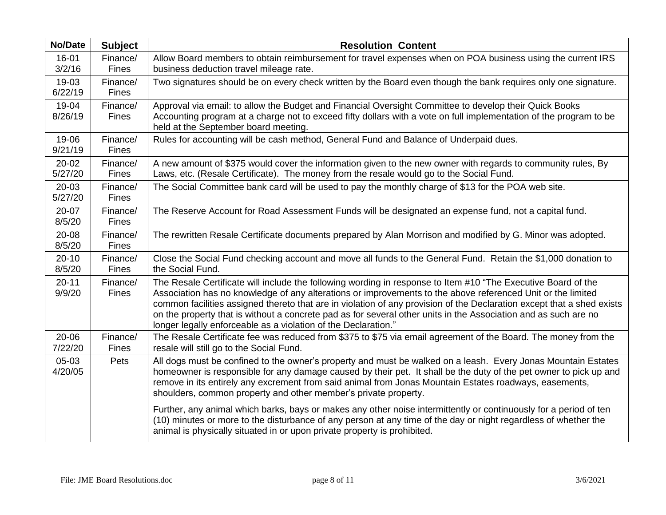| <b>No/Date</b>       | <b>Subject</b>           | <b>Resolution Content</b>                                                                                                                                                                                                                                                                                                                                                                                                                                                                                                                   |
|----------------------|--------------------------|---------------------------------------------------------------------------------------------------------------------------------------------------------------------------------------------------------------------------------------------------------------------------------------------------------------------------------------------------------------------------------------------------------------------------------------------------------------------------------------------------------------------------------------------|
| 16-01<br>3/2/16      | Finance/<br><b>Fines</b> | Allow Board members to obtain reimbursement for travel expenses when on POA business using the current IRS<br>business deduction travel mileage rate.                                                                                                                                                                                                                                                                                                                                                                                       |
| 19-03<br>6/22/19     | Finance/<br><b>Fines</b> | Two signatures should be on every check written by the Board even though the bank requires only one signature.                                                                                                                                                                                                                                                                                                                                                                                                                              |
| 19-04<br>8/26/19     | Finance/<br><b>Fines</b> | Approval via email: to allow the Budget and Financial Oversight Committee to develop their Quick Books<br>Accounting program at a charge not to exceed fifty dollars with a vote on full implementation of the program to be<br>held at the September board meeting.                                                                                                                                                                                                                                                                        |
| 19-06<br>9/21/19     | Finance/<br><b>Fines</b> | Rules for accounting will be cash method, General Fund and Balance of Underpaid dues.                                                                                                                                                                                                                                                                                                                                                                                                                                                       |
| $20 - 02$<br>5/27/20 | Finance/<br><b>Fines</b> | A new amount of \$375 would cover the information given to the new owner with regards to community rules, By<br>Laws, etc. (Resale Certificate). The money from the resale would go to the Social Fund.                                                                                                                                                                                                                                                                                                                                     |
| $20 - 03$<br>5/27/20 | Finance/<br><b>Fines</b> | The Social Committee bank card will be used to pay the monthly charge of \$13 for the POA web site.                                                                                                                                                                                                                                                                                                                                                                                                                                         |
| 20-07<br>8/5/20      | Finance/<br>Fines        | The Reserve Account for Road Assessment Funds will be designated an expense fund, not a capital fund.                                                                                                                                                                                                                                                                                                                                                                                                                                       |
| 20-08<br>8/5/20      | Finance/<br>Fines        | The rewritten Resale Certificate documents prepared by Alan Morrison and modified by G. Minor was adopted.                                                                                                                                                                                                                                                                                                                                                                                                                                  |
| $20 - 10$<br>8/5/20  | Finance/<br><b>Fines</b> | Close the Social Fund checking account and move all funds to the General Fund. Retain the \$1,000 donation to<br>the Social Fund.                                                                                                                                                                                                                                                                                                                                                                                                           |
| $20 - 11$<br>9/9/20  | Finance/<br>Fines        | The Resale Certificate will include the following wording in response to Item #10 "The Executive Board of the<br>Association has no knowledge of any alterations or improvements to the above referenced Unit or the limited<br>common facilities assigned thereto that are in violation of any provision of the Declaration except that a shed exists<br>on the property that is without a concrete pad as for several other units in the Association and as such are no<br>longer legally enforceable as a violation of the Declaration." |
| 20-06<br>7/22/20     | Finance/<br>Fines        | The Resale Certificate fee was reduced from \$375 to \$75 via email agreement of the Board. The money from the<br>resale will still go to the Social Fund.                                                                                                                                                                                                                                                                                                                                                                                  |
| 05-03<br>4/20/05     | Pets                     | All dogs must be confined to the owner's property and must be walked on a leash. Every Jonas Mountain Estates<br>homeowner is responsible for any damage caused by their pet. It shall be the duty of the pet owner to pick up and<br>remove in its entirely any excrement from said animal from Jonas Mountain Estates roadways, easements,<br>shoulders, common property and other member's private property.                                                                                                                             |
|                      |                          | Further, any animal which barks, bays or makes any other noise intermittently or continuously for a period of ten<br>(10) minutes or more to the disturbance of any person at any time of the day or night regardless of whether the<br>animal is physically situated in or upon private property is prohibited.                                                                                                                                                                                                                            |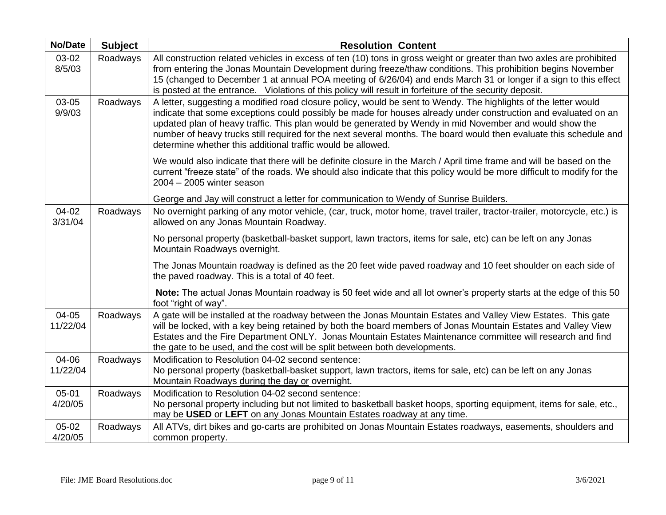| <b>No/Date</b>    | <b>Subject</b> | <b>Resolution Content</b>                                                                                                                                                                                                                                                                                                                                                                                                                                                                                                         |
|-------------------|----------------|-----------------------------------------------------------------------------------------------------------------------------------------------------------------------------------------------------------------------------------------------------------------------------------------------------------------------------------------------------------------------------------------------------------------------------------------------------------------------------------------------------------------------------------|
| 03-02<br>8/5/03   | Roadways       | All construction related vehicles in excess of ten (10) tons in gross weight or greater than two axles are prohibited<br>from entering the Jonas Mountain Development during freeze/thaw conditions. This prohibition begins November<br>15 (changed to December 1 at annual POA meeting of 6/26/04) and ends March 31 or longer if a sign to this effect<br>is posted at the entrance. Violations of this policy will result in forfeiture of the security deposit.                                                              |
| 03-05<br>9/9/03   | Roadways       | A letter, suggesting a modified road closure policy, would be sent to Wendy. The highlights of the letter would<br>indicate that some exceptions could possibly be made for houses already under construction and evaluated on an<br>updated plan of heavy traffic. This plan would be generated by Wendy in mid November and would show the<br>number of heavy trucks still required for the next several months. The board would then evaluate this schedule and<br>determine whether this additional traffic would be allowed. |
|                   |                | We would also indicate that there will be definite closure in the March / April time frame and will be based on the<br>current "freeze state" of the roads. We should also indicate that this policy would be more difficult to modify for the<br>$2004 - 2005$ winter season                                                                                                                                                                                                                                                     |
|                   |                | George and Jay will construct a letter for communication to Wendy of Sunrise Builders.                                                                                                                                                                                                                                                                                                                                                                                                                                            |
| 04-02<br>3/31/04  | Roadways       | No overnight parking of any motor vehicle, (car, truck, motor home, travel trailer, tractor-trailer, motorcycle, etc.) is<br>allowed on any Jonas Mountain Roadway.                                                                                                                                                                                                                                                                                                                                                               |
|                   |                | No personal property (basketball-basket support, lawn tractors, items for sale, etc) can be left on any Jonas<br>Mountain Roadways overnight.                                                                                                                                                                                                                                                                                                                                                                                     |
|                   |                | The Jonas Mountain roadway is defined as the 20 feet wide paved roadway and 10 feet shoulder on each side of<br>the paved roadway. This is a total of 40 feet.                                                                                                                                                                                                                                                                                                                                                                    |
|                   |                | Note: The actual Jonas Mountain roadway is 50 feet wide and all lot owner's property starts at the edge of this 50<br>foot "right of way".                                                                                                                                                                                                                                                                                                                                                                                        |
| 04-05<br>11/22/04 | Roadways       | A gate will be installed at the roadway between the Jonas Mountain Estates and Valley View Estates. This gate<br>will be locked, with a key being retained by both the board members of Jonas Mountain Estates and Valley View<br>Estates and the Fire Department ONLY. Jonas Mountain Estates Maintenance committee will research and find<br>the gate to be used, and the cost will be split between both developments.                                                                                                         |
| 04-06             | Roadways       | Modification to Resolution 04-02 second sentence:                                                                                                                                                                                                                                                                                                                                                                                                                                                                                 |
| 11/22/04          |                | No personal property (basketball-basket support, lawn tractors, items for sale, etc) can be left on any Jonas<br>Mountain Roadways during the day or overnight.                                                                                                                                                                                                                                                                                                                                                                   |
| 05-01             | Roadways       | Modification to Resolution 04-02 second sentence:                                                                                                                                                                                                                                                                                                                                                                                                                                                                                 |
| 4/20/05           |                | No personal property including but not limited to basketball basket hoops, sporting equipment, items for sale, etc.,<br>may be USED or LEFT on any Jonas Mountain Estates roadway at any time.                                                                                                                                                                                                                                                                                                                                    |
| 05-02<br>4/20/05  | Roadways       | All ATVs, dirt bikes and go-carts are prohibited on Jonas Mountain Estates roadways, easements, shoulders and<br>common property.                                                                                                                                                                                                                                                                                                                                                                                                 |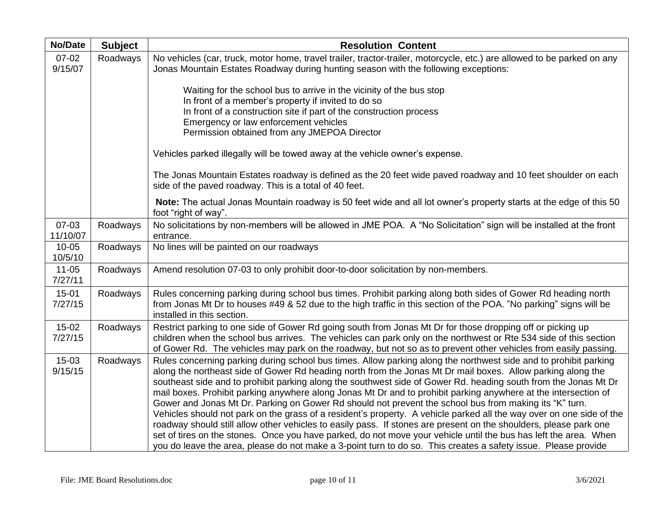| <b>No/Date</b>       | <b>Subject</b> | <b>Resolution Content</b>                                                                                                                                                                                                                                                                                                                                                                                                                                                                                                                                                                                                                                                                                                                                                                                                                                                                                                                                                                                                                                          |
|----------------------|----------------|--------------------------------------------------------------------------------------------------------------------------------------------------------------------------------------------------------------------------------------------------------------------------------------------------------------------------------------------------------------------------------------------------------------------------------------------------------------------------------------------------------------------------------------------------------------------------------------------------------------------------------------------------------------------------------------------------------------------------------------------------------------------------------------------------------------------------------------------------------------------------------------------------------------------------------------------------------------------------------------------------------------------------------------------------------------------|
| $07 - 02$<br>9/15/07 | Roadways       | No vehicles (car, truck, motor home, travel trailer, tractor-trailer, motorcycle, etc.) are allowed to be parked on any<br>Jonas Mountain Estates Roadway during hunting season with the following exceptions:                                                                                                                                                                                                                                                                                                                                                                                                                                                                                                                                                                                                                                                                                                                                                                                                                                                     |
|                      |                | Waiting for the school bus to arrive in the vicinity of the bus stop<br>In front of a member's property if invited to do so<br>In front of a construction site if part of the construction process<br>Emergency or law enforcement vehicles<br>Permission obtained from any JMEPOA Director                                                                                                                                                                                                                                                                                                                                                                                                                                                                                                                                                                                                                                                                                                                                                                        |
|                      |                | Vehicles parked illegally will be towed away at the vehicle owner's expense.                                                                                                                                                                                                                                                                                                                                                                                                                                                                                                                                                                                                                                                                                                                                                                                                                                                                                                                                                                                       |
|                      |                | The Jonas Mountain Estates roadway is defined as the 20 feet wide paved roadway and 10 feet shoulder on each<br>side of the paved roadway. This is a total of 40 feet.                                                                                                                                                                                                                                                                                                                                                                                                                                                                                                                                                                                                                                                                                                                                                                                                                                                                                             |
|                      |                | Note: The actual Jonas Mountain roadway is 50 feet wide and all lot owner's property starts at the edge of this 50<br>foot "right of way".                                                                                                                                                                                                                                                                                                                                                                                                                                                                                                                                                                                                                                                                                                                                                                                                                                                                                                                         |
| 07-03<br>11/10/07    | Roadways       | No solicitations by non-members will be allowed in JME POA. A "No Solicitation" sign will be installed at the front<br>entrance.                                                                                                                                                                                                                                                                                                                                                                                                                                                                                                                                                                                                                                                                                                                                                                                                                                                                                                                                   |
| $10 - 05$<br>10/5/10 | Roadways       | No lines will be painted on our roadways                                                                                                                                                                                                                                                                                                                                                                                                                                                                                                                                                                                                                                                                                                                                                                                                                                                                                                                                                                                                                           |
| $11 - 05$<br>7/27/11 | Roadways       | Amend resolution 07-03 to only prohibit door-to-door solicitation by non-members.                                                                                                                                                                                                                                                                                                                                                                                                                                                                                                                                                                                                                                                                                                                                                                                                                                                                                                                                                                                  |
| $15 - 01$<br>7/27/15 | Roadways       | Rules concerning parking during school bus times. Prohibit parking along both sides of Gower Rd heading north<br>from Jonas Mt Dr to houses #49 & 52 due to the high traffic in this section of the POA. "No parking" signs will be<br>installed in this section.                                                                                                                                                                                                                                                                                                                                                                                                                                                                                                                                                                                                                                                                                                                                                                                                  |
| $15-02$<br>7/27/15   | Roadways       | Restrict parking to one side of Gower Rd going south from Jonas Mt Dr for those dropping off or picking up<br>children when the school bus arrives. The vehicles can park only on the northwest or Rte 534 side of this section<br>of Gower Rd. The vehicles may park on the roadway, but not so as to prevent other vehicles from easily passing.                                                                                                                                                                                                                                                                                                                                                                                                                                                                                                                                                                                                                                                                                                                 |
| $15-03$<br>9/15/15   | Roadways       | Rules concerning parking during school bus times. Allow parking along the northwest side and to prohibit parking<br>along the northeast side of Gower Rd heading north from the Jonas Mt Dr mail boxes. Allow parking along the<br>southeast side and to prohibit parking along the southwest side of Gower Rd. heading south from the Jonas Mt Dr<br>mail boxes. Prohibit parking anywhere along Jonas Mt Dr and to prohibit parking anywhere at the intersection of<br>Gower and Jonas Mt Dr. Parking on Gower Rd should not prevent the school bus from making its "K" turn.<br>Vehicles should not park on the grass of a resident's property. A vehicle parked all the way over on one side of the<br>roadway should still allow other vehicles to easily pass. If stones are present on the shoulders, please park one<br>set of tires on the stones. Once you have parked, do not move your vehicle until the bus has left the area. When<br>you do leave the area, please do not make a 3-point turn to do so. This creates a safety issue. Please provide |